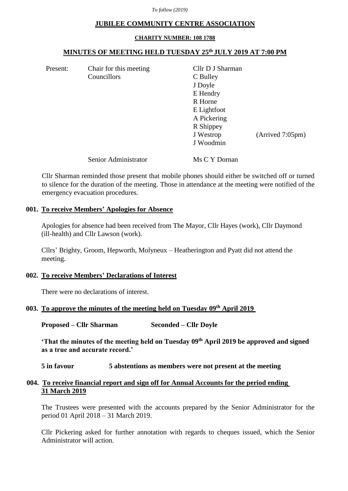*To follow (2019)*

#### **JUBILEE COMMUNITY CENTRE ASSOCIATION**

#### **CHARITY NUMBER: 108 1788**

## **MINUTES OF MEETING HELD TUESDAY 25th JULY 2019 AT 7:00 PM**

Present: Chair for this meeting Cllr D J Sharman Councillors C Bulley

J Doyle E Hendry R Horne E Lightfoot A Pickering R Shippey J Westrop (Arrived 7:05pm) J Woodmin

Senior Administrator Ms C Y Dornan

Cllr Sharman reminded those present that mobile phones should either be switched off or turned to silence for the duration of the meeting. Those in attendance at the meeting were notified of the emergency evacuation procedures.

# **001. To receive Members' Apologies for Absence**

Apologies for absence had been received from The Mayor, Cllr Hayes (work), Cllr Daymond (ill-health) and Cllr Lawson (work).

Cllrs' Brighty, Groom, Hepworth, Molyneux – Heatherington and Pyatt did not attend the meeting.

## **002. To receive Members' Declarations of Interest**

There were no declarations of interest.

## **003. To approve the minutes of the meeting held on Tuesday 09th April 2019**

**Proposed – Cllr Sharman Seconded – Cllr Doyle**

**'That the minutes of the meeting held on Tuesday 09th April 2019 be approved and signed as a true and accurate record.'**

## **5 in favour 5 abstentions as members were not present at the meeting**

# **004. To receive financial report and sign off for Annual Accounts for the period ending 31 March 2019**

The Trustees were presented with the accounts prepared by the Senior Administrator for the period 01 April 2018 – 31 March 2019.

Cllr Pickering asked for further annotation with regards to cheques issued, which the Senior Administrator will action.